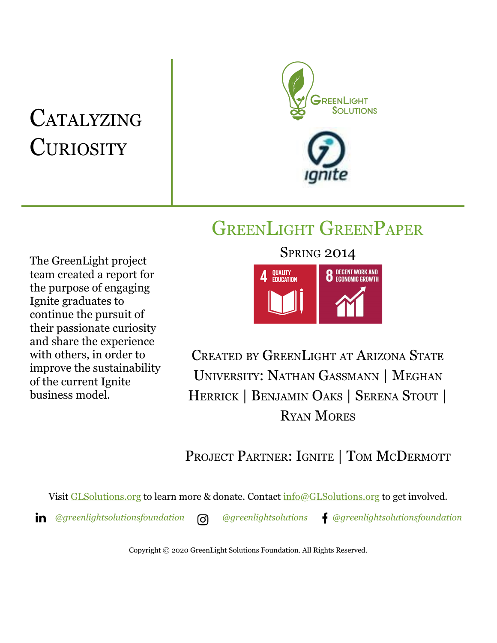# **CATALYZING CURIOSITY**



## GREENLIGHT GREENPAPER

The GreenLight project team created a report for the purpose of engaging Ignite graduates to continue the pursuit of their passionate curiosity and share the experience with others, in order to improve the sustainability of the current Ignite business model.



CREATED BY GREENLIGHT AT ARIZONA STATE UNIVERSITY: NATHAN GASSMANN | MEGHAN HERRICK | BENJAMIN OAKS | SERENA STOUT | RYAN MORES

## PROJECT PARTNER: IGNITE | TOM MCDERMOTT

Visit [GLSolutions.org](https://www.glsolutions.org/) to learn more & donate. Contact  $\frac{info@GLSolutions.org}{info@GLSolutions.org}$  to get involved.

*[@greenlightsolutionsfoundation](https://www.linkedin.com/company/10571635) [@greenlightsolutions](https://www.instagram.com/greenlightsolutions/) [@greenlightsolutionsfoundation](https://www.facebook.com/GreenLightSolutionsFoundation/)*

Copyright © 2020 GreenLight Solutions Foundation. All Rights Reserved.